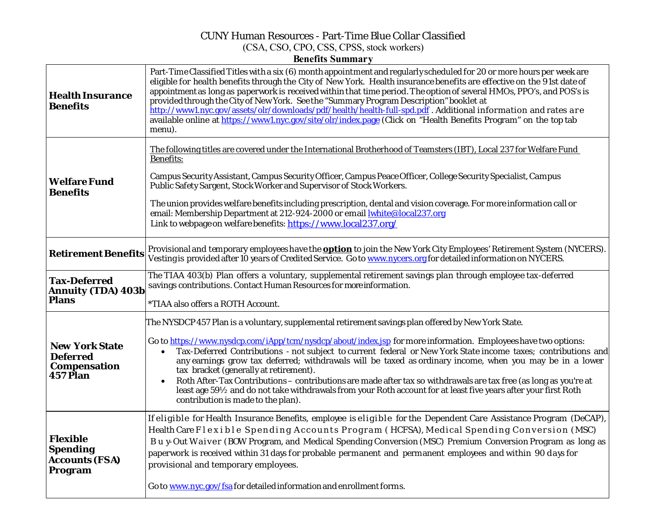## CUNY Human Resources - Part-Time Blue Collar Classified (CSA, CSO, CPO, CSS, CPSS, stock workers) **Benefits Summary**

| <b>Health Insurance</b><br><b>Benefits</b>                                  | Part-Time Classified Titles with a six (6) month appointment and regularly scheduled for 20 or more hours per week are<br>eligible for health benefits through the City of New York. Health insurance benefits are effective on the 91st date of<br>appointment as long as paperwork is received within that time period. The option of several HMOs, PPO's, and POS's is<br>provided through the City of New York. See the "Summary Program Description" booklet at<br>http://www1.nyc.gov/assets/olr/downloads/pdf/health/health-full-spd.pdf . Additional information and rates are<br>available online at https://www1.nyc.gov/site/olr/index.page (Click on "Health Benefits Program" on the top tab<br>menu).                                                                    |
|-----------------------------------------------------------------------------|----------------------------------------------------------------------------------------------------------------------------------------------------------------------------------------------------------------------------------------------------------------------------------------------------------------------------------------------------------------------------------------------------------------------------------------------------------------------------------------------------------------------------------------------------------------------------------------------------------------------------------------------------------------------------------------------------------------------------------------------------------------------------------------|
| <b>Welfare Fund</b><br><b>Benefits</b>                                      | The following titles are covered under the International Brotherhood of Teamsters (IBT), Local 237 for Welfare Fund<br><b>Benefits:</b><br>Campus Security Assistant, Campus Security Officer, Campus Peace Officer, College Security Specialist, Campus<br>Public Safety Sargent, Stock Worker and Supervisor of Stock Workers.<br>The union provides welfare benefits including prescription, dental and vision coverage. For more information call or<br>email: Membership Department at 212-924-2000 or email <b>white@local237.org</b><br>Link to webpage on welfare benefits: https://www.local237.org/                                                                                                                                                                          |
| <b>Retirement Benefits</b>                                                  | Provisional and temporary employees have the <b>option</b> to join the New York City Employees' Retirement System (NYCERS).<br>Vesting is provided after 10 years of Credited Service. Goto www.nycers.org for detailed information on NYCERS.                                                                                                                                                                                                                                                                                                                                                                                                                                                                                                                                         |
| <b>Tax-Deferred</b><br><b>Annuity (TDA) 403b</b><br><b>Plans</b>            | The TIAA 403(b) Plan offers a voluntary, supplemental retirement savings plan through employee tax-deferred<br>savings contributions. Contact Human Resources for more information.<br>*TIAA also offers a ROTH Account.                                                                                                                                                                                                                                                                                                                                                                                                                                                                                                                                                               |
| <b>New York State</b><br><b>Deferred</b><br><b>Compensation</b><br>457 Plan | The NYSDCP 457 Plan is a voluntary, supplemental retirement savings plan offered by New York State.<br>Go to https://www.nysdcp.com/iApp/tcm/nysdcp/about/index.jsp for more information. Employees have two options:<br>Tax-Deferred Contributions - not subject to current federal or New York State income taxes; contributions and<br>$\bullet$<br>any earnings grow tax deferred; withdrawals will be taxed as ordinary income, when you may be in a lower<br>tax bracket (generally at retirement).<br>Roth After-Tax Contributions - contributions are made after tax so withdrawals are tax free (as long as you're at<br>least age 59½ and do not take withdrawals from your Roth account for at least five years after your first Roth<br>contribution is made to the plan). |
| <b>Flexible</b><br><b>Spending</b><br><b>Accounts (FSA)</b><br>Program      | If eligible for Health Insurance Benefits, employee is eligible for the Dependent Care Assistance Program (DeCAP),<br>Health Care Flexible Spending Accounts Program (HCFSA), Medical Spending Conversion (MSC)<br>Buy-Out Waiver (BOW Program, and Medical Spending Conversion (MSC) Premium Conversion Program as long as<br>paperwork is received within 31 days for probable permanent and permanent employees and within 90 days for<br>provisional and temporary employees.<br>Go to www.nyc.gov/fsa for detailed information and enrollment forms.                                                                                                                                                                                                                              |